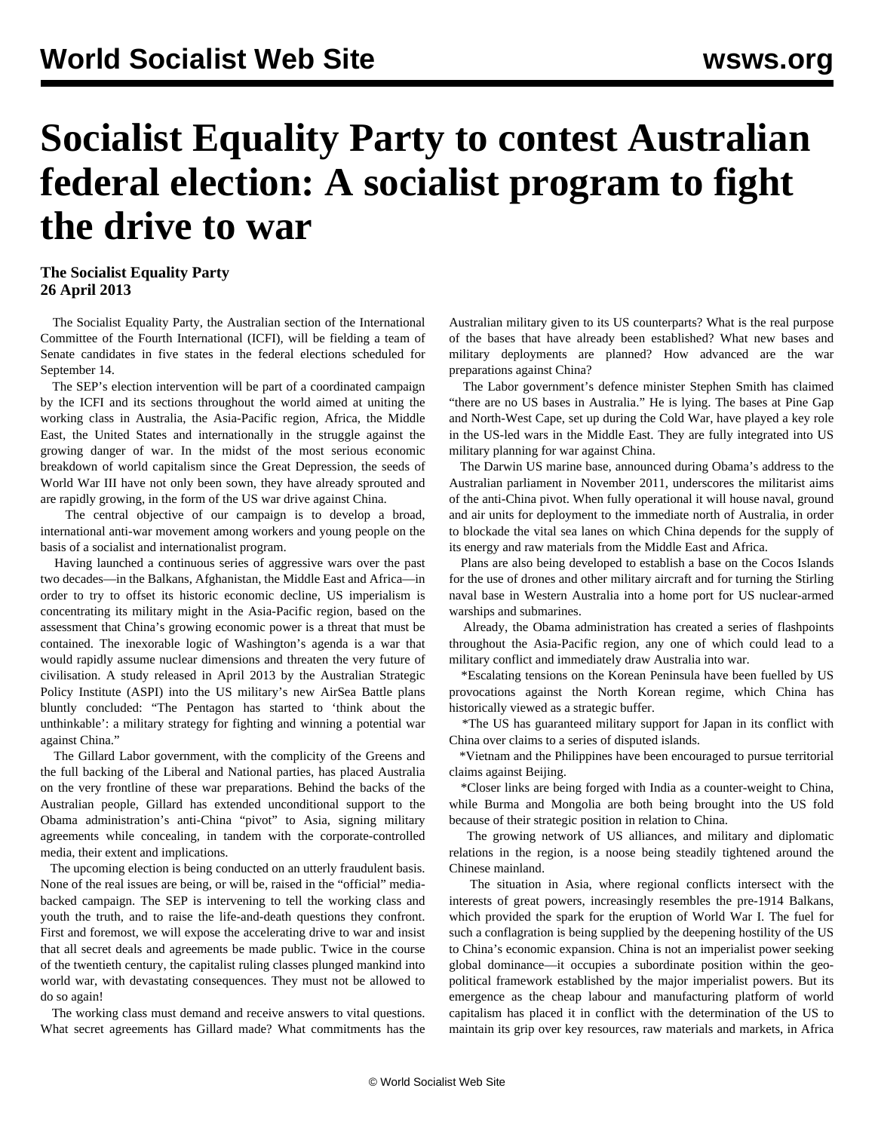# **Socialist Equality Party to contest Australian federal election: A socialist program to fight the drive to war**

# **The Socialist Equality Party 26 April 2013**

 The Socialist Equality Party, the Australian section of the International Committee of the Fourth International (ICFI), will be fielding a team of Senate candidates in five states in the federal elections scheduled for September 14.

 The SEP's election intervention will be part of a coordinated campaign by the ICFI and its sections throughout the world aimed at uniting the working class in Australia, the Asia-Pacific region, Africa, the Middle East, the United States and internationally in the struggle against the growing danger of war. In the midst of the most serious economic breakdown of world capitalism since the Great Depression, the seeds of World War III have not only been sown, they have already sprouted and are rapidly growing, in the form of the US war drive against China.

 The central objective of our campaign is to develop a broad, international anti-war movement among workers and young people on the basis of a socialist and internationalist program.

 Having launched a continuous series of aggressive wars over the past two decades—in the Balkans, Afghanistan, the Middle East and Africa—in order to try to offset its historic economic decline, US imperialism is concentrating its military might in the Asia-Pacific region, based on the assessment that China's growing economic power is a threat that must be contained. The inexorable logic of Washington's agenda is a war that would rapidly assume nuclear dimensions and threaten the very future of civilisation. A study released in April 2013 by the Australian Strategic Policy Institute (ASPI) into the US military's new AirSea Battle plans bluntly concluded: "The Pentagon has started to 'think about the unthinkable': a military strategy for fighting and winning a potential war against China."

 The Gillard Labor government, with the complicity of the Greens and the full backing of the Liberal and National parties, has placed Australia on the very frontline of these war preparations. Behind the backs of the Australian people, Gillard has extended unconditional support to the Obama administration's anti-China "pivot" to Asia, signing military agreements while concealing, in tandem with the corporate-controlled media, their extent and implications.

 The upcoming election is being conducted on an utterly fraudulent basis. None of the real issues are being, or will be, raised in the "official" mediabacked campaign. The SEP is intervening to tell the working class and youth the truth, and to raise the life-and-death questions they confront. First and foremost, we will expose the accelerating drive to war and insist that all secret deals and agreements be made public. Twice in the course of the twentieth century, the capitalist ruling classes plunged mankind into world war, with devastating consequences. They must not be allowed to do so again!

 The working class must demand and receive answers to vital questions. What secret agreements has Gillard made? What commitments has the Australian military given to its US counterparts? What is the real purpose of the bases that have already been established? What new bases and military deployments are planned? How advanced are the war preparations against China?

 The Labor government's defence minister Stephen Smith has claimed "there are no US bases in Australia." He is lying. The bases at Pine Gap and North-West Cape, set up during the Cold War, have played a key role in the US-led wars in the Middle East. They are fully integrated into US military planning for war against China.

 The Darwin US marine base, announced during Obama's address to the Australian parliament in November 2011, underscores the militarist aims of the anti-China pivot. When fully operational it will house naval, ground and air units for deployment to the immediate north of Australia, in order to blockade the vital sea lanes on which China depends for the supply of its energy and raw materials from the Middle East and Africa.

 Plans are also being developed to establish a base on the Cocos Islands for the use of drones and other military aircraft and for turning the Stirling naval base in Western Australia into a home port for US nuclear-armed warships and submarines.

 Already, the Obama administration has created a series of flashpoints throughout the Asia-Pacific region, any one of which could lead to a military conflict and immediately draw Australia into war.

 \*Escalating tensions on the Korean Peninsula have been fuelled by US provocations against the North Korean regime, which China has historically viewed as a strategic buffer.

 \*The US has guaranteed military support for Japan in its conflict with China over claims to a series of disputed islands.

 \*Vietnam and the Philippines have been encouraged to pursue territorial claims against Beijing.

 \*Closer links are being forged with India as a counter-weight to China, while Burma and Mongolia are both being brought into the US fold because of their strategic position in relation to China.

 The growing network of US alliances, and military and diplomatic relations in the region, is a noose being steadily tightened around the Chinese mainland.

 The situation in Asia, where regional conflicts intersect with the interests of great powers, increasingly resembles the pre-1914 Balkans, which provided the spark for the eruption of World War I. The fuel for such a conflagration is being supplied by the deepening hostility of the US to China's economic expansion. China is not an imperialist power seeking global dominance—it occupies a subordinate position within the geopolitical framework established by the major imperialist powers. But its emergence as the cheap labour and manufacturing platform of world capitalism has placed it in conflict with the determination of the US to maintain its grip over key resources, raw materials and markets, in Africa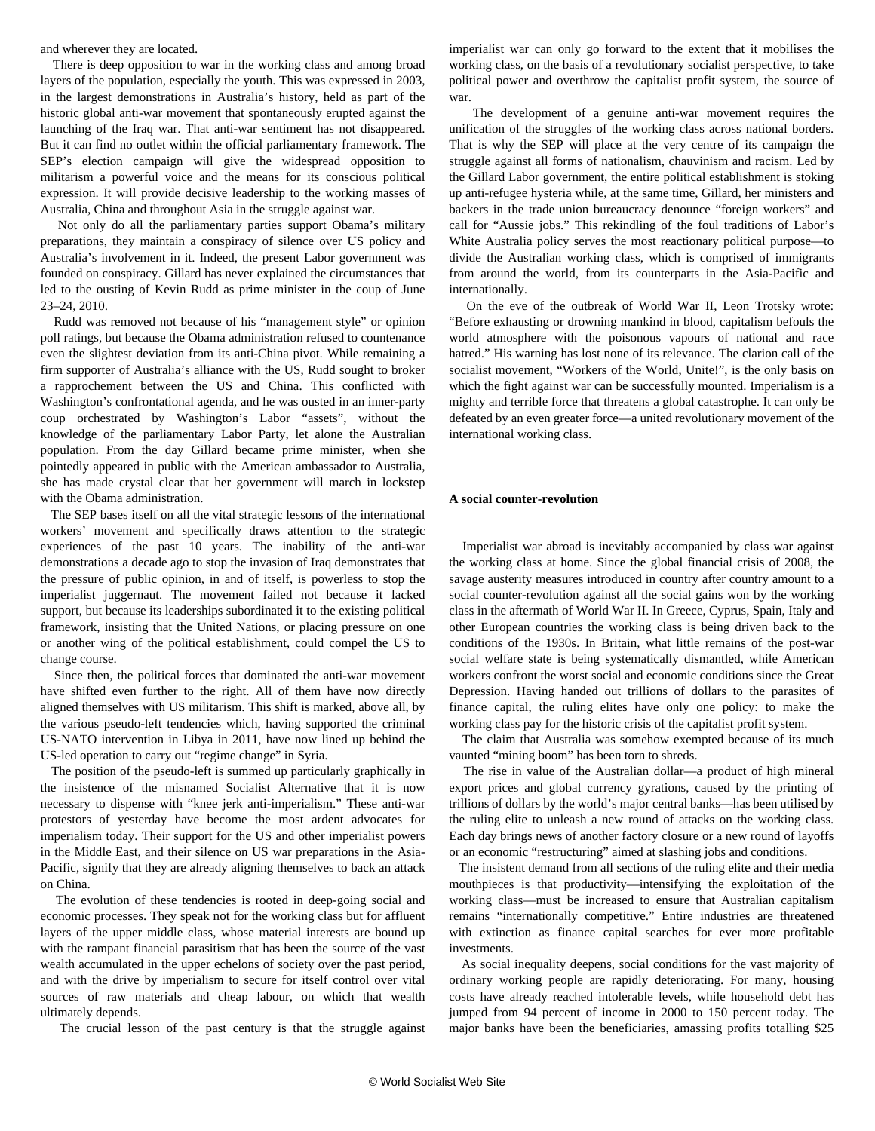and wherever they are located.

 There is deep opposition to war in the working class and among broad layers of the population, especially the youth. This was expressed in 2003, in the largest demonstrations in Australia's history, held as part of the historic global anti-war movement that spontaneously erupted against the launching of the Iraq war. That anti-war sentiment has not disappeared. But it can find no outlet within the official parliamentary framework. The SEP's election campaign will give the widespread opposition to militarism a powerful voice and the means for its conscious political expression. It will provide decisive leadership to the working masses of Australia, China and throughout Asia in the struggle against war.

 Not only do all the parliamentary parties support Obama's military preparations, they maintain a conspiracy of silence over US policy and Australia's involvement in it. Indeed, the present Labor government was founded on conspiracy. Gillard has never explained the circumstances that led to the ousting of Kevin Rudd as prime minister in the coup of June 23–24, 2010.

 Rudd was removed not because of his "management style" or opinion poll ratings, but because the Obama administration refused to countenance even the slightest deviation from its anti-China pivot. While remaining a firm supporter of Australia's alliance with the US, Rudd sought to broker a rapprochement between the US and China. This conflicted with Washington's confrontational agenda, and he was ousted in an inner-party coup orchestrated by Washington's Labor "assets", without the knowledge of the parliamentary Labor Party, let alone the Australian population. From the day Gillard became prime minister, when she pointedly appeared in public with the American ambassador to Australia, she has made crystal clear that her government will march in lockstep with the Obama administration.

 The SEP bases itself on all the vital strategic lessons of the international workers' movement and specifically draws attention to the strategic experiences of the past 10 years. The inability of the anti-war demonstrations a decade ago to stop the invasion of Iraq demonstrates that the pressure of public opinion, in and of itself, is powerless to stop the imperialist juggernaut. The movement failed not because it lacked support, but because its leaderships subordinated it to the existing political framework, insisting that the United Nations, or placing pressure on one or another wing of the political establishment, could compel the US to change course.

 Since then, the political forces that dominated the anti-war movement have shifted even further to the right. All of them have now directly aligned themselves with US militarism. This shift is marked, above all, by the various pseudo-left tendencies which, having supported the criminal US-NATO intervention in Libya in 2011, have now lined up behind the US-led operation to carry out "regime change" in Syria.

 The position of the pseudo-left is summed up particularly graphically in the insistence of the misnamed Socialist Alternative that it is now necessary to dispense with "knee jerk anti-imperialism." These anti-war protestors of yesterday have become the most ardent advocates for imperialism today. Their support for the US and other imperialist powers in the Middle East, and their silence on US war preparations in the Asia-Pacific, signify that they are already aligning themselves to back an attack on China.

 The evolution of these tendencies is rooted in deep-going social and economic processes. They speak not for the working class but for affluent layers of the upper middle class, whose material interests are bound up with the rampant financial parasitism that has been the source of the vast wealth accumulated in the upper echelons of society over the past period, and with the drive by imperialism to secure for itself control over vital sources of raw materials and cheap labour, on which that wealth ultimately depends.

The crucial lesson of the past century is that the struggle against

imperialist war can only go forward to the extent that it mobilises the working class, on the basis of a revolutionary socialist perspective, to take political power and overthrow the capitalist profit system, the source of war.

 The development of a genuine anti-war movement requires the unification of the struggles of the working class across national borders. That is why the SEP will place at the very centre of its campaign the struggle against all forms of nationalism, chauvinism and racism. Led by the Gillard Labor government, the entire political establishment is stoking up anti-refugee hysteria while, at the same time, Gillard, her ministers and backers in the trade union bureaucracy denounce "foreign workers" and call for "Aussie jobs." This rekindling of the foul traditions of Labor's White Australia policy serves the most reactionary political purpose—to divide the Australian working class, which is comprised of immigrants from around the world, from its counterparts in the Asia-Pacific and internationally.

 On the eve of the outbreak of World War II, Leon Trotsky wrote: "Before exhausting or drowning mankind in blood, capitalism befouls the world atmosphere with the poisonous vapours of national and race hatred." His warning has lost none of its relevance. The clarion call of the socialist movement, "Workers of the World, Unite!", is the only basis on which the fight against war can be successfully mounted. Imperialism is a mighty and terrible force that threatens a global catastrophe. It can only be defeated by an even greater force—a united revolutionary movement of the international working class.

#### **A social counter-revolution**

 Imperialist war abroad is inevitably accompanied by class war against the working class at home. Since the global financial crisis of 2008, the savage austerity measures introduced in country after country amount to a social counter-revolution against all the social gains won by the working class in the aftermath of World War II. In Greece, Cyprus, Spain, Italy and other European countries the working class is being driven back to the conditions of the 1930s. In Britain, what little remains of the post-war social welfare state is being systematically dismantled, while American workers confront the worst social and economic conditions since the Great Depression. Having handed out trillions of dollars to the parasites of finance capital, the ruling elites have only one policy: to make the working class pay for the historic crisis of the capitalist profit system.

 The claim that Australia was somehow exempted because of its much vaunted "mining boom" has been torn to shreds.

 The rise in value of the Australian dollar—a product of high mineral export prices and global currency gyrations, caused by the printing of trillions of dollars by the world's major central banks—has been utilised by the ruling elite to unleash a new round of attacks on the working class. Each day brings news of another factory closure or a new round of layoffs or an economic "restructuring" aimed at slashing jobs and conditions.

 The insistent demand from all sections of the ruling elite and their media mouthpieces is that productivity—intensifying the exploitation of the working class—must be increased to ensure that Australian capitalism remains "internationally competitive." Entire industries are threatened with extinction as finance capital searches for ever more profitable investments.

 As social inequality deepens, social conditions for the vast majority of ordinary working people are rapidly deteriorating. For many, housing costs have already reached intolerable levels, while household debt has jumped from 94 percent of income in 2000 to 150 percent today. The major banks have been the beneficiaries, amassing profits totalling \$25